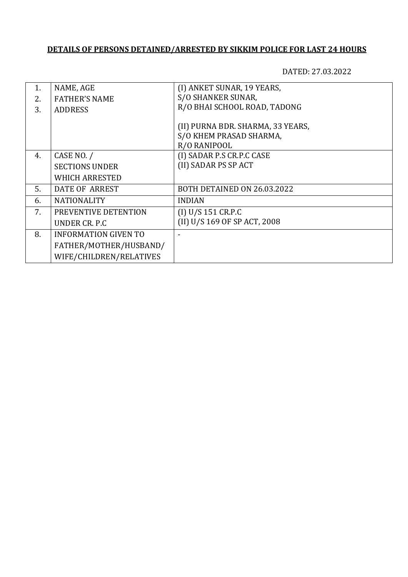## **DETAILS OF PERSONS DETAINED/ARRESTED BY SIKKIM POLICE FOR LAST 24 HOURS**

DATED: 27.03.2022

|                             | (I) ANKET SUNAR, 19 YEARS,        |
|-----------------------------|-----------------------------------|
|                             |                                   |
|                             | S/O SHANKER SUNAR,                |
| <b>ADDRESS</b>              | R/O BHAI SCHOOL ROAD, TADONG      |
|                             |                                   |
|                             | (II) PURNA BDR. SHARMA, 33 YEARS, |
|                             | S/O KHEM PRASAD SHARMA,           |
|                             | R/O RANIPOOL                      |
| CASE NO. /                  | (I) SADAR P.S CR.P.C CASE         |
| <b>SECTIONS UNDER</b>       | (II) SADAR PS SP ACT              |
| WHICH ARRESTED              |                                   |
| DATE OF ARREST              | BOTH DETAINED ON 26.03.2022       |
| <b>NATIONALITY</b>          | <b>INDIAN</b>                     |
| PREVENTIVE DETENTION        | (I) U/S 151 CR.P.C                |
| UNDER CR. P.C.              | (II) U/S 169 OF SP ACT, 2008      |
| <b>INFORMATION GIVEN TO</b> |                                   |
| FATHER/MOTHER/HUSBAND/      |                                   |
| WIFE/CHILDREN/RELATIVES     |                                   |
|                             | NAME, AGE<br><b>FATHER'S NAME</b> |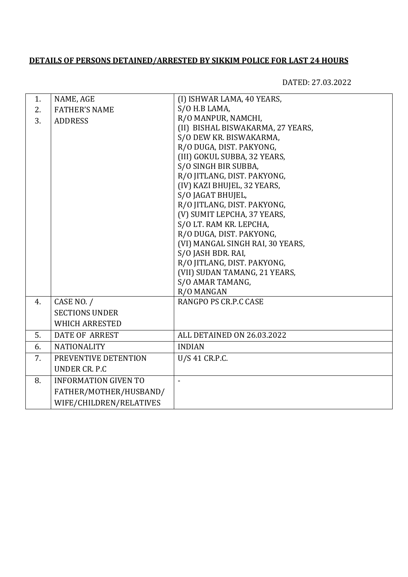## **DETAILS OF PERSONS DETAINED/ARRESTED BY SIKKIM POLICE FOR LAST 24 HOURS**

DATED: 27.03.2022

| 1. | NAME, AGE                   | (I) ISHWAR LAMA, 40 YEARS,        |
|----|-----------------------------|-----------------------------------|
| 2. | <b>FATHER'S NAME</b>        | S/O H.B LAMA,                     |
| 3. | <b>ADDRESS</b>              | R/O MANPUR, NAMCHI,               |
|    |                             | (II) BISHAL BISWAKARMA, 27 YEARS, |
|    |                             | S/O DEW KR. BISWAKARMA,           |
|    |                             | R/O DUGA, DIST. PAKYONG,          |
|    |                             | (III) GOKUL SUBBA, 32 YEARS,      |
|    |                             | S/O SINGH BIR SUBBA,              |
|    |                             | R/O JITLANG, DIST. PAKYONG,       |
|    |                             | (IV) KAZI BHUJEL, 32 YEARS,       |
|    |                             | S/O JAGAT BHUJEL,                 |
|    |                             | R/O JITLANG, DIST. PAKYONG,       |
|    |                             | (V) SUMIT LEPCHA, 37 YEARS,       |
|    |                             | S/O LT. RAM KR. LEPCHA,           |
|    |                             | R/O DUGA, DIST. PAKYONG,          |
|    |                             | (VI) MANGAL SINGH RAI, 30 YEARS,  |
|    |                             | S/O JASH BDR. RAI,                |
|    |                             | R/O JITLANG, DIST. PAKYONG,       |
|    |                             | (VII) SUDAN TAMANG, 21 YEARS,     |
|    |                             | S/O AMAR TAMANG,                  |
|    |                             | R/O MANGAN                        |
| 4. | CASE NO. /                  | RANGPO PS CR.P.C CASE             |
|    | <b>SECTIONS UNDER</b>       |                                   |
|    | <b>WHICH ARRESTED</b>       |                                   |
| 5. | <b>DATE OF ARREST</b>       | ALL DETAINED ON 26.03.2022        |
| 6. | <b>NATIONALITY</b>          | <b>INDIAN</b>                     |
| 7. | PREVENTIVE DETENTION        | U/S 41 CR.P.C.                    |
|    | <b>UNDER CR. P.C</b>        |                                   |
| 8. | <b>INFORMATION GIVEN TO</b> | $\overline{a}$                    |
|    | FATHER/MOTHER/HUSBAND/      |                                   |
|    | WIFE/CHILDREN/RELATIVES     |                                   |
|    |                             |                                   |